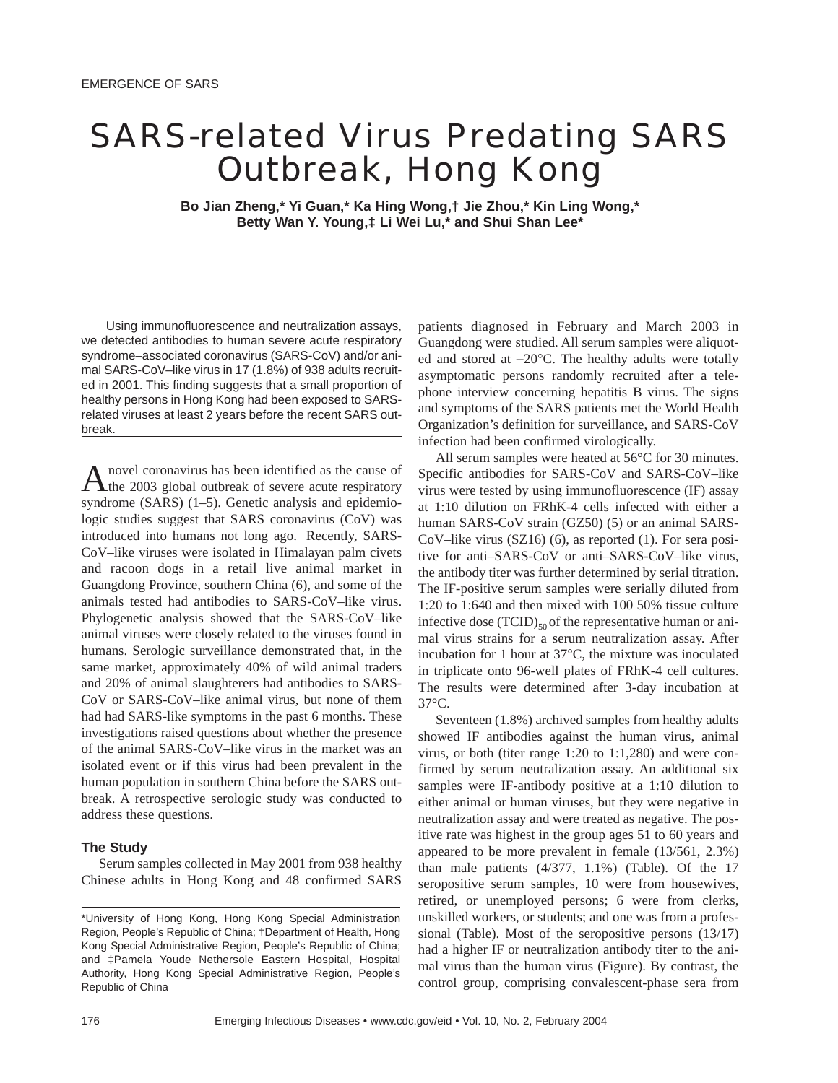## SARS-related Virus Predating SARS Outbreak, Hong Kong

**Bo Jian Zheng,\* Yi Guan,\* Ka Hing Wong,† Jie Zhou,\* Kin Ling Wong,\* Betty Wan Y. Young,‡ Li Wei Lu,\* and Shui Shan Lee\***

Using immunofluorescence and neutralization assays, we detected antibodies to human severe acute respiratory syndrome–associated coronavirus (SARS-CoV) and/or animal SARS-CoV–like virus in 17 (1.8%) of 938 adults recruited in 2001. This finding suggests that a small proportion of healthy persons in Hong Kong had been exposed to SARSrelated viruses at least 2 years before the recent SARS outbreak.

A novel coronavirus has been identified as the cause of the 2003 global outbreak of severe acute respiratory syndrome (SARS) (1–5). Genetic analysis and epidemiologic studies suggest that SARS coronavirus (CoV) was introduced into humans not long ago. Recently, SARS-CoV–like viruses were isolated in Himalayan palm civets and racoon dogs in a retail live animal market in Guangdong Province, southern China (6), and some of the animals tested had antibodies to SARS-CoV–like virus. Phylogenetic analysis showed that the SARS-CoV–like animal viruses were closely related to the viruses found in humans. Serologic surveillance demonstrated that, in the same market, approximately 40% of wild animal traders and 20% of animal slaughterers had antibodies to SARS-CoV or SARS-CoV–like animal virus, but none of them had had SARS-like symptoms in the past 6 months. These investigations raised questions about whether the presence of the animal SARS-CoV–like virus in the market was an isolated event or if this virus had been prevalent in the human population in southern China before the SARS outbreak. A retrospective serologic study was conducted to address these questions.

### **The Study**

Serum samples collected in May 2001 from 938 healthy Chinese adults in Hong Kong and 48 confirmed SARS

patients diagnosed in February and March 2003 in Guangdong were studied. All serum samples were aliquoted and stored at −20°C. The healthy adults were totally asymptomatic persons randomly recruited after a telephone interview concerning hepatitis B virus. The signs and symptoms of the SARS patients met the World Health Organization's definition for surveillance, and SARS-CoV infection had been confirmed virologically.

All serum samples were heated at 56°C for 30 minutes. Specific antibodies for SARS-CoV and SARS-CoV–like virus were tested by using immunofluorescence (IF) assay at 1:10 dilution on FRhK-4 cells infected with either a human SARS-CoV strain (GZ50) (5) or an animal SARS-CoV–like virus (SZ16) (6), as reported (1). For sera positive for anti–SARS-CoV or anti–SARS-CoV–like virus, the antibody titer was further determined by serial titration. The IF-positive serum samples were serially diluted from 1:20 to 1:640 and then mixed with 100 50% tissue culture infective dose  $(TCID)_{50}$  of the representative human or animal virus strains for a serum neutralization assay. After incubation for 1 hour at 37°C, the mixture was inoculated in triplicate onto 96-well plates of FRhK-4 cell cultures. The results were determined after 3-day incubation at 37°C.

Seventeen (1.8%) archived samples from healthy adults showed IF antibodies against the human virus, animal virus, or both (titer range 1:20 to 1:1,280) and were confirmed by serum neutralization assay. An additional six samples were IF-antibody positive at a 1:10 dilution to either animal or human viruses, but they were negative in neutralization assay and were treated as negative. The positive rate was highest in the group ages 51 to 60 years and appeared to be more prevalent in female (13/561, 2.3%) than male patients (4/377, 1.1%) (Table). Of the 17 seropositive serum samples, 10 were from housewives, retired, or unemployed persons; 6 were from clerks, unskilled workers, or students; and one was from a professional (Table). Most of the seropositive persons (13/17) had a higher IF or neutralization antibody titer to the animal virus than the human virus (Figure). By contrast, the control group, comprising convalescent-phase sera from

<sup>\*</sup>University of Hong Kong, Hong Kong Special Administration Region, People's Republic of China; †Department of Health, Hong Kong Special Administrative Region, People's Republic of China; and ‡Pamela Youde Nethersole Eastern Hospital, Hospital Authority, Hong Kong Special Administrative Region, People's Republic of China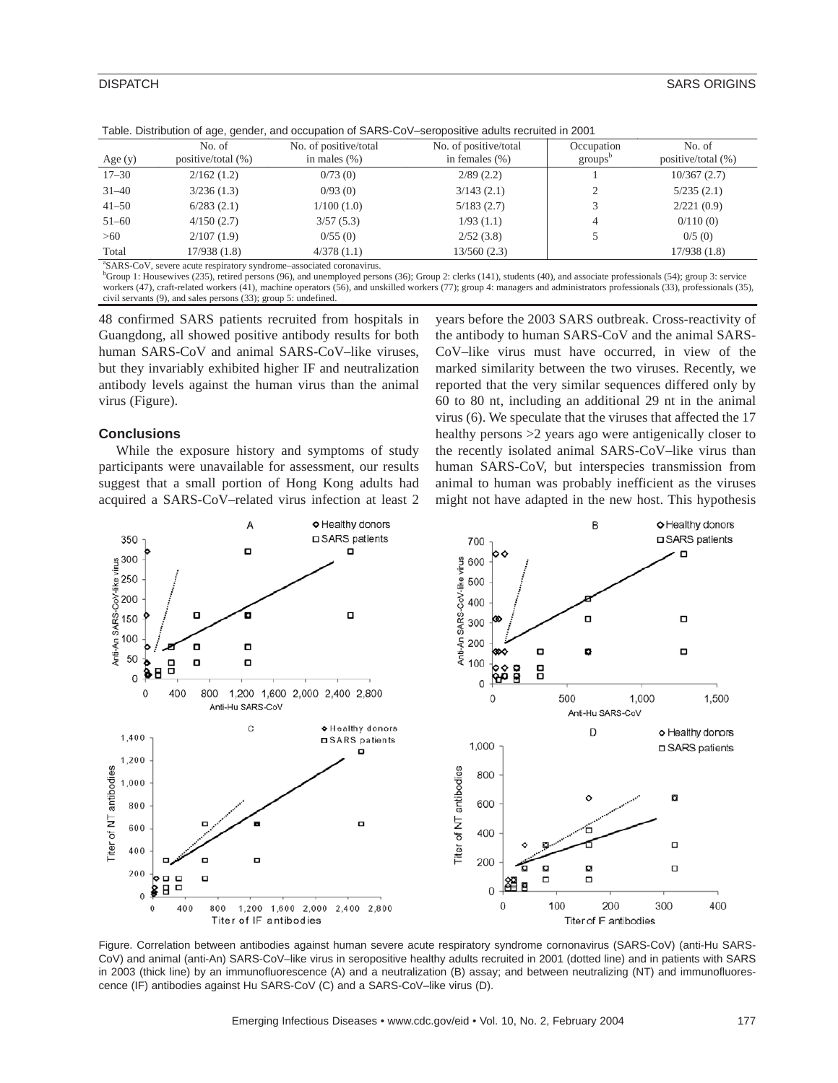| Age $(y)$ | No. of<br>positive/total (%) | No. of positive/total<br>in males $(\%)$ | No. of positive/total<br>in females $(\% )$ | Occupation<br>$\text{groups}^{\circ}$ | No. of<br>positive/total (%) |
|-----------|------------------------------|------------------------------------------|---------------------------------------------|---------------------------------------|------------------------------|
| $17 - 30$ | 2/162(1.2)                   | 0/73(0)                                  | 2/89(2.2)                                   |                                       | 10/367(2.7)                  |
| $31 - 40$ | 3/236(1.3)                   | 0/93(0)                                  | 3/143(2.1)                                  |                                       | 5/235(2.1)                   |
| $41 - 50$ | 6/283(2.1)                   | 1/100(1.0)                               | 5/183(2.7)                                  |                                       | 2/221(0.9)                   |
| $51 - 60$ | 4/150(2.7)                   | 3/57(5.3)                                | 1/93(1.1)                                   | 4                                     | 0/110(0)                     |
| >60       | 2/107(1.9)                   | 0/55(0)                                  | 2/52(3.8)                                   |                                       | 0/5(0)                       |
| Total     | 17/938(1.8)                  | 4/378(1.1)                               | 13/560 (2.3)                                |                                       | 17/938 (1.8)                 |

Table. Distribution of age, gender, and occupation of SARS-CoV–seropositive adults recruited in 2001

SARS-CoV, severe acute respiratory syndrome–associated coronavirus.

<sup>b</sup>Group 1: Housewives (235), retired persons (96), and unemployed persons (36); Group 2: clerks (141), students (40), and associate professionals (54); group 3: service workers (47), craft-related workers (41), machine operators (56), and unskilled workers (77); group 4: managers and administrators professionals (33), professionals (35), civil servants (9), and sales persons (33); group 5: undefined.

48 confirmed SARS patients recruited from hospitals in Guangdong, all showed positive antibody results for both human SARS-CoV and animal SARS-CoV–like viruses, but they invariably exhibited higher IF and neutralization antibody levels against the human virus than the animal virus (Figure).

#### **Conclusions**

While the exposure history and symptoms of study participants were unavailable for assessment, our results suggest that a small portion of Hong Kong adults had acquired a SARS-CoV–related virus infection at least 2 years before the 2003 SARS outbreak. Cross-reactivity of the antibody to human SARS-CoV and the animal SARS-CoV–like virus must have occurred, in view of the marked similarity between the two viruses. Recently, we reported that the very similar sequences differed only by 60 to 80 nt, including an additional 29 nt in the animal virus (6). We speculate that the viruses that affected the 17 healthy persons >2 years ago were antigenically closer to the recently isolated animal SARS-CoV–like virus than human SARS-CoV, but interspecies transmission from animal to human was probably inefficient as the viruses might not have adapted in the new host. This hypothesis



Figure. Correlation between antibodies against human severe acute respiratory syndrome cornonavirus (SARS-CoV) (anti-Hu SARS-CoV) and animal (anti-An) SARS-CoV–like virus in seropositive healthy adults recruited in 2001 (dotted line) and in patients with SARS in 2003 (thick line) by an immunofluorescence (A) and a neutralization (B) assay; and between neutralizing (NT) and immunofluorescence (IF) antibodies against Hu SARS-CoV (C) and a SARS-CoV–like virus (D).